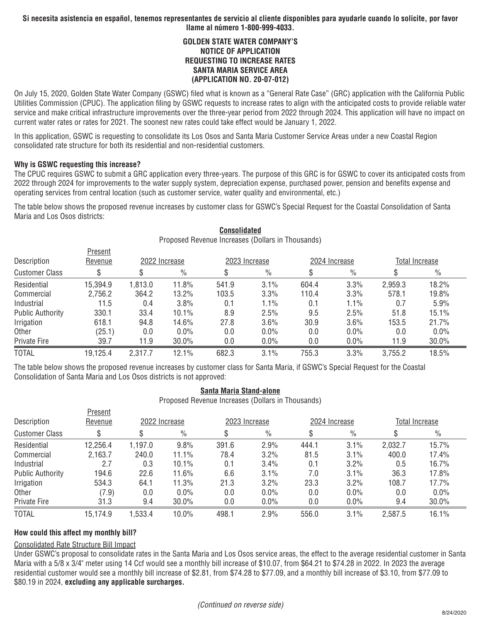## **GOLDEN STATE WATER COMPANY'S NOTICE OF APPLICATION REQUESTING TO INCREASE RATES SANTA MARIA SERVICE AREA (APPLICATION NO. 20-07-012)**

On July 15, 2020, Golden State Water Company (GSWC) filed what is known as a "General Rate Case" (GRC) application with the California Public Utilities Commission (CPUC). The application filing by GSWC requests to increase rates to align with the anticipated costs to provide reliable water service and make critical infrastructure improvements over the three-year period from 2022 through 2024. This application will have no impact on current water rates or rates for 2021. The soonest new rates could take effect would be January 1, 2022.

In this application, GSWC is requesting to consolidate its Los Osos and Santa Maria Customer Service Areas under a new Coastal Region consolidated rate structure for both its residential and non-residential customers.

### **Why is GSWC requesting this increase?**

The CPUC requires GSWC to submit a GRC application every three-years. The purpose of this GRC is for GSWC to cover its anticipated costs from 2022 through 2024 for improvements to the water supply system, depreciation expense, purchased power, pension and benefits expense and operating services from central location (such as customer service, water quality and environmental, etc.)

The table below shows the proposed revenue increases by customer class for GSWC's Special Request for the Coastal Consolidation of Santa Maria and Los Osos districts:

| Proposed Revenue Increases (Dollars in Thousands) |          |               |               |               |               |               |               |                       |               |
|---------------------------------------------------|----------|---------------|---------------|---------------|---------------|---------------|---------------|-----------------------|---------------|
|                                                   | Present  |               |               |               |               |               |               |                       |               |
| Description                                       | Revenue  | 2022 Increase |               | 2023 Increase |               | 2024 Increase |               | <b>Total Increase</b> |               |
| <b>Customer Class</b>                             | S        |               | $\frac{0}{0}$ | S             | $\frac{0}{0}$ |               | $\frac{0}{0}$ |                       | $\frac{0}{0}$ |
| Residential                                       | 15,394.9 | 1,813.0       | 11.8%         | 541.9         | 3.1%          | 604.4         | 3.3%          | 2,959.3               | 18.2%         |
| Commercial                                        | 2,756.2  | 364.2         | 13.2%         | 103.5         | 3.3%          | 110.4         | 3.3%          | 578.1                 | 19.8%         |
| Industrial                                        | 11.5     | 0.4           | 3.8%          | 0.1           | 1.1%          | 0.1           | 1.1%          | 0.7                   | 5.9%          |
| <b>Public Authority</b>                           | 330.1    | 33.4          | 10.1%         | 8.9           | 2.5%          | 9.5           | 2.5%          | 51.8                  | 15.1%         |
| Irrigation                                        | 618.1    | 94.8          | 14.6%         | 27.8          | 3.6%          | 30.9          | 3.6%          | 153.5                 | 21.7%         |
| Other                                             | (25.1)   | 0.0           | $0.0\%$       | 0.0           | $0.0\%$       | 0.0           | $0.0\%$       | 0.0                   | $0.0\%$       |
| Private Fire                                      | 39.7     | 11.9          | 30.0%         | 0.0           | $0.0\%$       | 0.0           | 0.0%          | 11.9                  | $30.0\%$      |
| <b>TOTAL</b>                                      | 19,125.4 | 2,317.7       | 12.1%         | 682.3         | 3.1%          | 755.3         | 3.3%          | 3,755.2               | 18.5%         |

# **Consolidated**

The table below shows the proposed revenue increases by customer class for Santa Maria, if GSWC's Special Request for the Coastal Consolidation of Santa Maria and Los Osos districts is not approved:

## **Santa Maria Stand-alone**

Proposed Revenue Increases (Dollars in Thousands)

| Description             | 109911<br>Revenue | 2022 Increase |               | 2023 Increase |               | 2024 Increase |               | <b>Total Increase</b> |               |
|-------------------------|-------------------|---------------|---------------|---------------|---------------|---------------|---------------|-----------------------|---------------|
| <b>Customer Class</b>   |                   |               | $\frac{0}{0}$ |               | $\frac{0}{0}$ |               | $\frac{0}{0}$ |                       | $\frac{0}{0}$ |
| Residential             | 12,256.4          | 1,197.0       | 9.8%          | 391.6         | 2.9%          | 444.1         | 3.1%          | 2,032.7               | 15.7%         |
| Commercial              | 2,163.7           | 240.0         | $11.1\%$      | 78.4          | 3.2%          | 81.5          | 3.1%          | 400.0                 | 17.4%         |
| Industrial              | 2.7               | 0.3           | 10.1%         | 0.1           | 3.4%          | 0.1           | 3.2%          | 0.5                   | 16.7%         |
| <b>Public Authority</b> | 194.6             | 22.6          | 11.6%         | 6.6           | 3.1%          | 7.0           | 3.1%          | 36.3                  | 17.8%         |
| Irrigation              | 534.3             | 64.1          | 11.3%         | 21.3          | 3.2%          | 23.3          | 3.2%          | 108.7                 | 17.7%         |
| Other                   | (7.9)             | 0.0           | 0.0%          | 0.0           | 0.0%          | 0.0           | 0.0%          | 0.0                   | $0.0\%$       |
| <b>Private Fire</b>     | 31.3              | 9.4           | $30.0\%$      | 0.0           | 0.0%          | 0.0           | 0.0%          | 9.4                   | $30.0\%$      |
| <b>TOTAL</b>            | 15,174.9          | 1,533.4       | 10.0%         | 498.1         | 2.9%          | 556.0         | 3.1%          | 2,587.5               | 16.1%         |

## **How could this affect my monthly bill?**

**Drocont** 

### Consolidated Rate Structure Bill Impact

Under GSWC's proposal to consolidate rates in the Santa Maria and Los Osos service areas, the effect to the average residential customer in Santa Maria with a 5/8 x 3/4" meter using 14 Ccf would see a monthly bill increase of \$10.07, from \$64.21 to \$74.28 in 2022. In 2023 the average residential customer would see a monthly bill increase of \$2.81, from \$74.28 to \$77.09, and a monthly bill increase of \$3.10, from \$77.09 to \$80.19 in 2024, **excluding any applicable surcharges.**